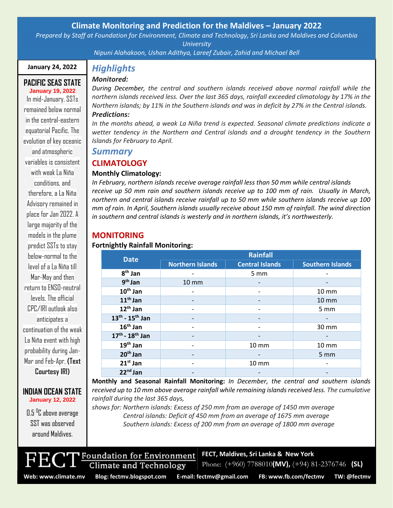## **Climate Monitoring and Prediction for the Maldives – January 2022**

*Prepared by Staff at Foundation for Environment, Climate and Technology, Sri Lanka and Maldives and Columbia University*

*Nipuni Alahakoon, Ushan Adithya, Lareef Zubair, Zahid and Michael Bell*

#### **January 24, 2022**

#### **PACIFIC SEAS STATE January 19, 2022**

In mid-January, SSTs remained below normal in the central-eastern equatorial Pacific. The evolution of key oceanic and atmospheric variables is consistent with weak La Niña conditions, and therefore, a La Niña Advisory remained in place for Jan 2022. A large majority of the models in the plume predict SSTs to stay helow-normal to the level of a La Niña till Mar-May and then return to ENSO-neutral levels. The official CPC/IRI outlook also anticipates a continuation of the weak La Niña event with high probability during Jan-Mar and Feb-Apr, **(Text Courtesy IRI)**

#### **INDIAN OCEAN STATE January 12, 2022**

0.5 <sup>o</sup>C above average SST was observed around Maldives.

# *Highlights*

## *Monitored:*

*During December, the central and southern islands received above normal rainfall while the northern islands received less. Over the last 365 days, rainfall exceeded climatology by 17% in the Northern islands; by 11% in the Southern islands and was in deficit by 27% in the Central islands. Predictions:* 

*In the months ahead, a weak La Niña trend is expected. Seasonal climate predictions indicate a wetter tendency in the Northern and Central islands and a drought tendency in the Southern Islands for February to April.*

## *Summary*

## **CLIMATOLOGY**

## **Monthly Climatology:**

*In February, northern islands receive average rainfall less than 50 mm while central islands receive up 50 mm rain and southern islands receive up to 100 mm of rain. Usually in March, northern and central islands receive rainfall up to 50 mm while southern islands receive up 100 mm of rain. In April, Southern islands usually receive about 150 mm of rainfall. The wind direction in southern and central islands is westerly and in northern islands, it's northwesterly.*

## **MONITORING**

#### **Fortnightly Rainfall Monitoring:**

| <b>Date</b>               | <b>Rainfall</b>         |                        |                         |
|---------------------------|-------------------------|------------------------|-------------------------|
|                           | <b>Northern Islands</b> | <b>Central Islands</b> | <b>Southern Islands</b> |
| $8th$ Jan                 |                         | 5 mm                   |                         |
| $9th$ Jan                 | 10 mm                   |                        |                         |
| $10th$ Jan                |                         |                        | 10 mm                   |
| $11th$ Jan                |                         |                        | $10 \, \text{mm}$       |
| $12th$ Jan                |                         |                        | 5 mm                    |
| $13^{th}$ - $15^{th}$ Jan |                         |                        |                         |
| $16th$ Jan                |                         |                        | 30 mm                   |
| $17^{th}$ - $18^{th}$ Jan |                         |                        |                         |
| $19th$ Jan                |                         | $10 \, \text{mm}$      | $10 \, \text{mm}$       |
| $20th$ Jan                |                         |                        | 5 mm                    |
| $21st$ Jan                |                         | $10 \, \text{mm}$      |                         |
| $22nd$ Jan                |                         |                        |                         |

**Monthly and Seasonal Rainfall Monitoring:** *In December, the central and southern islands received up to 10 mm above average rainfall while remaining islands received less. The cumulative rainfall during the last 365 days,*

*shows for: Northern islands: Excess of 250 mm from an average of 1450 mm average Central islands: Deficit of 450 mm from an average of 1675 mm average Southern islands: Excess of 200 mm from an average of 1800 mm average*



**FECT, Maldives, Sri Lanka & New York**

Foundation for Environment **Climate and Technology** 

Phone: (+960) 7788010**(MV),** (+94) 81-2376746 **(SL)**

**Web: www.climate.mv Blog[: fectmv.blogspot.com](mailto:fectmv.blogspot.com) E-mail: [fectmv@gmail.com](mailto:fectmv@gmail.com) FB[: www.fb.com/fectmv](http://www.fb.com/fectmv) TW: @fectmv**

Page